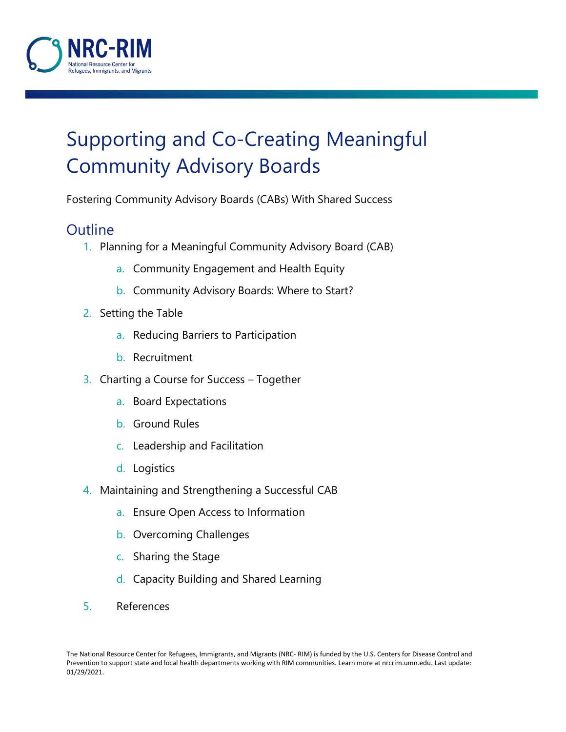

# Supporting and Co-Creating Meaningful Community Advisory Boards

Fostering Community Advisory Boards (CABs) With Shared Success

## **Outline**

- 1. Planning for a Meaningful Community Advisory Board (CAB)
	- a. Community Engagement and Health Equity
	- b. Community Advisory Boards: Where to Start?
- 2. Setting the Table
	- a. Reducing Barriers to Participation
	- b. Recruitment
- 3. Charting a Course for Success Together
	- a. Board Expectations
	- b. Ground Rules
	- c. Leadership and Facilitation
	- d. Logistics
- 4. Maintaining and Strengthening a Successful CAB
	- a. Ensure Open Access to Information
	- b. Overcoming Challenges
	- c. Sharing the Stage
	- d. Capacity Building and Shared Learning
- 5. References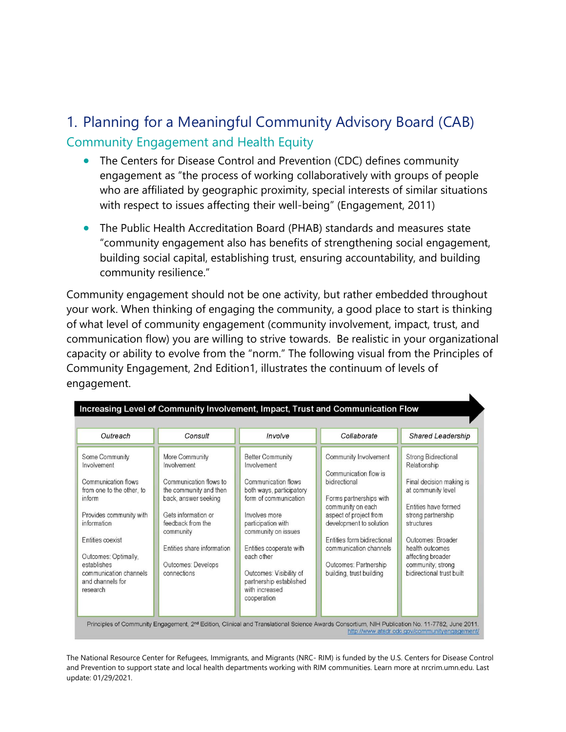# 1. Planning for a Meaningful Community Advisory Board (CAB) Community Engagement and Health Equity

- The Centers for Disease Control and Prevention (CDC) defines community engagement as "the process of working collaboratively with groups of people who are affiliated by geographic proximity, special interests of similar situations with respect to issues affecting their well-being" (Engagement, 2011)
- The Public Health Accreditation Board (PHAB) standards and measures state "community engagement also has benefits of strengthening social engagement, building social capital, establishing trust, ensuring accountability, and building community resilience."

Community engagement should not be one activity, but rather embedded throughout your work. When thinking of engaging the community, a good place to start is thinking of what level of community engagement (community involvement, impact, trust, and communication flow) you are willing to strive towards. Be realistic in your organizational capacity or ability to evolve from the "norm." The following visual from the Principles of Community Engagement, 2nd Edition1, illustrates the continuum of levels of engagement.

| Increasing Level of Community Involvement, Impact, Trust and Communication Flow                                                                                                                                                                            |                                                                                                                                                                                                                                       |                                                                                                                                                                                                                                                                                                                  |                                                                                                                                                                                                                                                                                    |                                                                                                                                                                                                                                                                          |
|------------------------------------------------------------------------------------------------------------------------------------------------------------------------------------------------------------------------------------------------------------|---------------------------------------------------------------------------------------------------------------------------------------------------------------------------------------------------------------------------------------|------------------------------------------------------------------------------------------------------------------------------------------------------------------------------------------------------------------------------------------------------------------------------------------------------------------|------------------------------------------------------------------------------------------------------------------------------------------------------------------------------------------------------------------------------------------------------------------------------------|--------------------------------------------------------------------------------------------------------------------------------------------------------------------------------------------------------------------------------------------------------------------------|
| Outreach                                                                                                                                                                                                                                                   | Consult                                                                                                                                                                                                                               | Involve                                                                                                                                                                                                                                                                                                          | Collaborate                                                                                                                                                                                                                                                                        | <b>Shared Leadership</b>                                                                                                                                                                                                                                                 |
| Some Community<br>Involvement<br>Communication flows<br>from one to the other, to<br>inform<br>Provides community with<br>information<br>Entities coexist<br>Outcomes: Optimally,<br>establishes<br>communication channels<br>and channels for<br>research | More Community<br>Involvement<br>Communication flows to<br>the community and then<br>back, answer seeking<br>Gets information or<br>feedback from the<br>community<br>Entities share information<br>Outcomes: Develops<br>connections | <b>Better Community</b><br>Involvement<br>Communication flows<br>both ways, participatory<br>form of communication<br>Involves more<br>participation with<br>community on issues<br>Entities cooperate with<br>each other<br>Outcomes: Visibility of<br>partnership established<br>with increased<br>cooperation | Community Involvement<br>Communication flow is<br>bidirectional<br>Forms partnerships with<br>community on each<br>aspect of project from<br>development to solution<br>Entities form bidirectional<br>communication channels<br>Outcomes: Partnership<br>building, trust building | <b>Strong Bidirectional</b><br>Relationship<br>Final decision making is<br>at community level<br>Entities have formed<br>strong partnership<br>structures<br>Outcomes: Broader<br>health outcomes<br>affecting broader<br>community; strong<br>bidirectional trust built |

Consortium, NIH Publication No. 11-7782, June 2011 <sup>2</sup>rinciples of Community Engagement, 2<sup>nd</sup> Edition, Clinical and Translational Science http://www.atsdr.cdc.gov/communityengagement/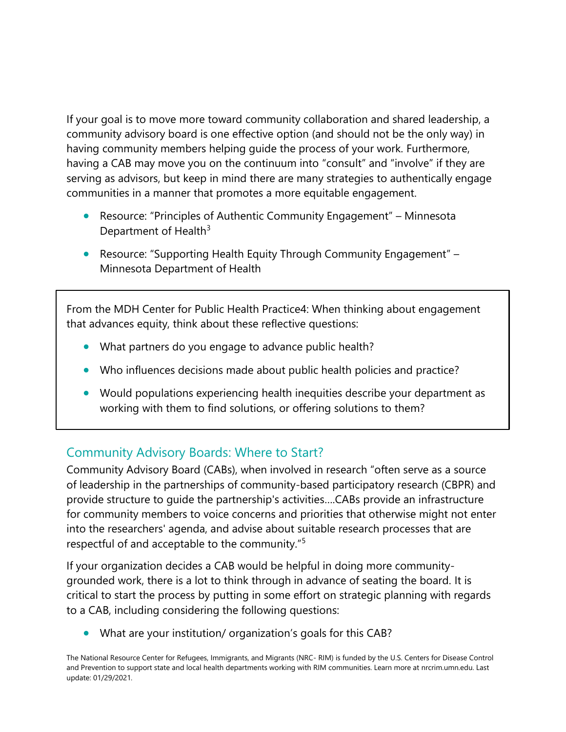If your goal is to move more toward community collaboration and shared leadership, a community advisory board is one effective option (and should not be the only way) in having community members helping guide the process of your work. Furthermore, having a CAB may move you on the continuum into "consult" and "involve" if they are serving as advisors, but keep in mind there are many strategies to authentically engage communities in a manner that promotes a more equitable engagement.

- Resource: "[Principles of Authentic Community Engagement](https://www.health.state.mn.us/communities/practice/resources/phqitoolbox/authenticprinciples.html)" Minnesota Department of Health $3$
- Resource: "[Supporting Health Equity Through Community Engagement](https://www.health.state.mn.us/communities/practice/equityengage/community/advancingequity.html#engages)" Minnesota Department of Health

From the MDH Center for Public Health Practice4: When thinking about engagement that advances equity, think about these reflective questions:

- What partners do you engage to advance public health?
- Who influences decisions made about public health policies and practice?
- Would populations experiencing health inequities describe your department as working with them to find solutions, or offering solutions to them?

#### Community Advisory Boards: Where to Start?

Community Advisory Board (CABs), when involved in research "often serve as a source of leadership in the partnerships of community-based participatory research (CBPR) and provide structure to guide the partnership's activities….CABs provide an infrastructure for community members to voice concerns and priorities that otherwise might not enter into the researchers' agenda, and advise about suitable research processes that are respectful of and acceptable to the community."<sup>5</sup>

If your organization decides a CAB would be helpful in doing more communitygrounded work, there is a lot to think through in advance of seating the board. It is critical to start the process by putting in some effort on strategic planning with regards to a CAB, including considering the following questions:

• What are your institution/ organization's goals for this CAB?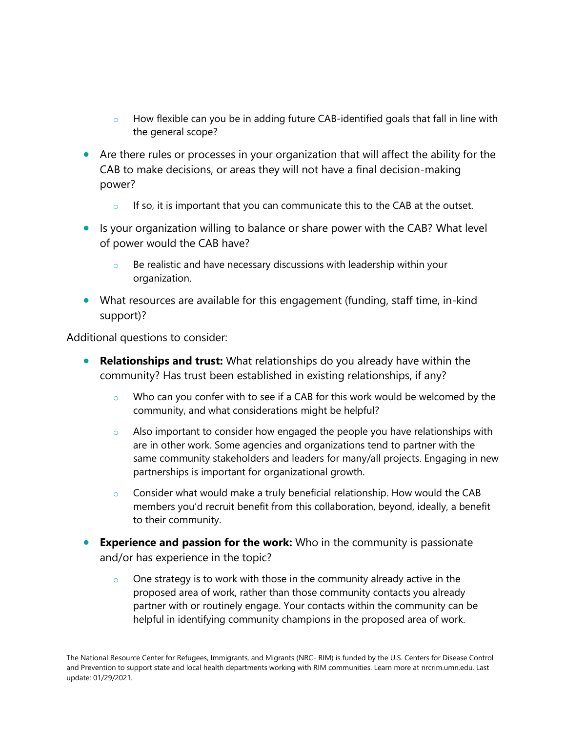- $\circ$  How flexible can you be in adding future CAB-identified goals that fall in line with the general scope?
- Are there rules or processes in your organization that will affect the ability for the CAB to make decisions, or areas they will not have a final decision-making power?
	- $\circ$  If so, it is important that you can communicate this to the CAB at the outset.
- Is your organization willing to balance or share power with the CAB? What level of power would the CAB have?
	- $\circ$  Be realistic and have necessary discussions with leadership within your organization.
- What resources are available for this engagement (funding, staff time, in-kind support)?

Additional questions to consider:

- **Relationships and trust:** What relationships do you already have within the community? Has trust been established in existing relationships, if any?
	- $\circ$  Who can you confer with to see if a CAB for this work would be welcomed by the community, and what considerations might be helpful?
	- $\circ$  Also important to consider how engaged the people you have relationships with are in other work. Some agencies and organizations tend to partner with the same community stakeholders and leaders for many/all projects. Engaging in new partnerships is important for organizational growth.
	- o Consider what would make a truly beneficial relationship. How would the CAB members you'd recruit benefit from this collaboration, beyond, ideally, a benefit to their community.
- **Experience and passion for the work:** Who in the community is passionate and/or has experience in the topic?
	- $\circ$  One strategy is to work with those in the community already active in the proposed area of work, rather than those community contacts you already partner with or routinely engage. Your contacts within the community can be helpful in identifying community champions in the proposed area of work.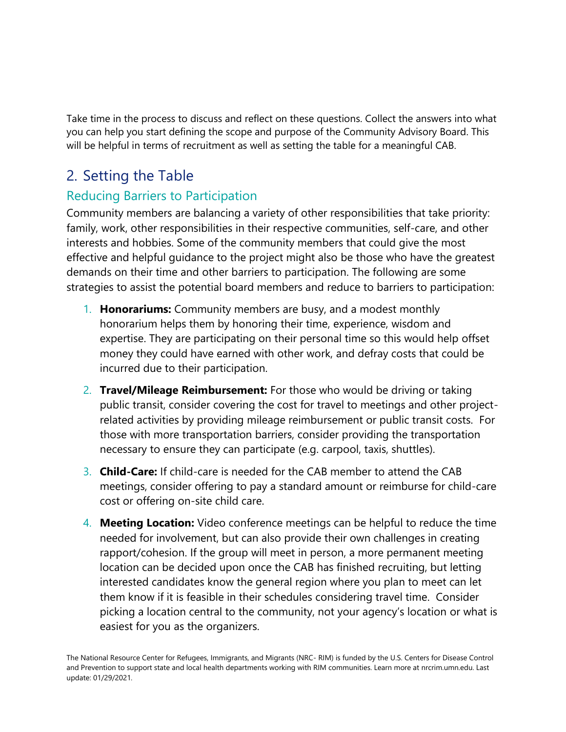Take time in the process to discuss and reflect on these questions. Collect the answers into what you can help you start defining the scope and purpose of the Community Advisory Board. This will be helpful in terms of recruitment as well as setting the table for a meaningful CAB.

# 2. Setting the Table

### Reducing Barriers to Participation

Community members are balancing a variety of other responsibilities that take priority: family, work, other responsibilities in their respective communities, self-care, and other interests and hobbies. Some of the community members that could give the most effective and helpful guidance to the project might also be those who have the greatest demands on their time and other barriers to participation. The following are some strategies to assist the potential board members and reduce to barriers to participation:

- 1. **Honorariums:** Community members are busy, and a modest monthly honorarium helps them by honoring their time, experience, wisdom and expertise. They are participating on their personal time so this would help offset money they could have earned with other work, and defray costs that could be incurred due to their participation.
- 2. **Travel/Mileage Reimbursement:** For those who would be driving or taking public transit, consider covering the cost for travel to meetings and other projectrelated activities by providing mileage reimbursement or public transit costs. For those with more transportation barriers, consider providing the transportation necessary to ensure they can participate (e.g. carpool, taxis, shuttles).
- 3. **Child-Care:** If child-care is needed for the CAB member to attend the CAB meetings, consider offering to pay a standard amount or reimburse for child-care cost or offering on-site child care.
- 4. **Meeting Location:** Video conference meetings can be helpful to reduce the time needed for involvement, but can also provide their own challenges in creating rapport/cohesion. If the group will meet in person, a more permanent meeting location can be decided upon once the CAB has finished recruiting, but letting interested candidates know the general region where you plan to meet can let them know if it is feasible in their schedules considering travel time. Consider picking a location central to the community, not your agency's location or what is easiest for you as the organizers.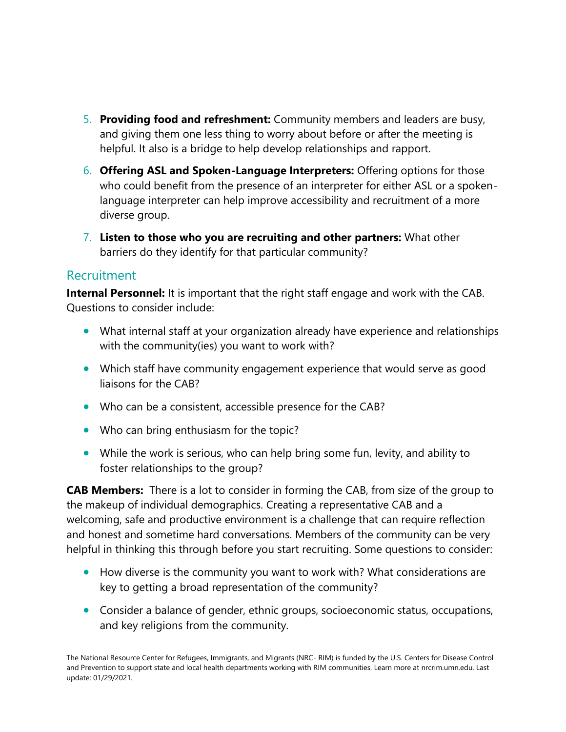- 5. **Providing food and refreshment:** Community members and leaders are busy, and giving them one less thing to worry about before or after the meeting is helpful. It also is a bridge to help develop relationships and rapport.
- 6. **Offering ASL and Spoken-Language Interpreters:** Offering options for those who could benefit from the presence of an interpreter for either ASL or a spokenlanguage interpreter can help improve accessibility and recruitment of a more diverse group.
- 7. **Listen to those who you are recruiting and other partners:** What other barriers do they identify for that particular community?

#### Recruitment

**Internal Personnel:** It is important that the right staff engage and work with the CAB. Questions to consider include:

- What internal staff at your organization already have experience and relationships with the community(ies) you want to work with?
- Which staff have community engagement experience that would serve as good liaisons for the CAB?
- Who can be a consistent, accessible presence for the CAB?
- Who can bring enthusiasm for the topic?
- While the work is serious, who can help bring some fun, levity, and ability to foster relationships to the group?

**CAB Members:** There is a lot to consider in forming the CAB, from size of the group to the makeup of individual demographics. Creating a representative CAB and a welcoming, safe and productive environment is a challenge that can require reflection and honest and sometime hard conversations. Members of the community can be very helpful in thinking this through before you start recruiting. Some questions to consider:

- How diverse is the community you want to work with? What considerations are key to getting a broad representation of the community?
- Consider a balance of gender, ethnic groups, socioeconomic status, occupations, and key religions from the community.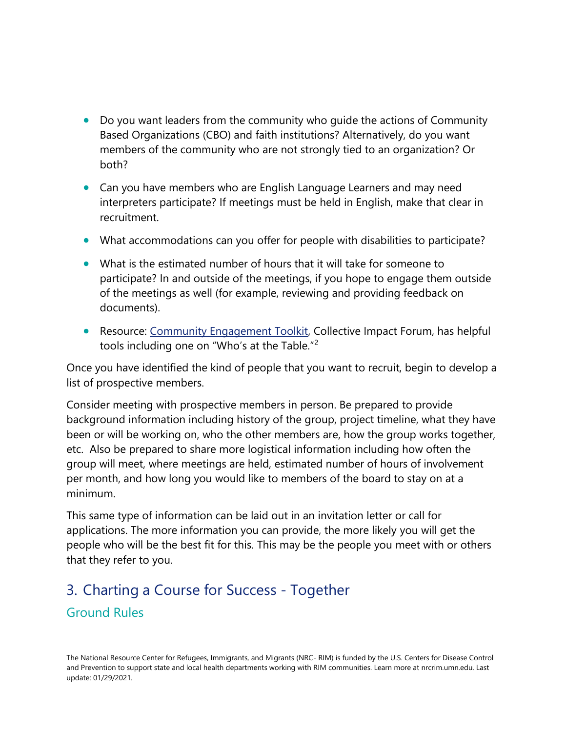- Do you want leaders from the community who quide the actions of Community Based Organizations (CBO) and faith institutions? Alternatively, do you want members of the community who are not strongly tied to an organization? Or both?
- Can you have members who are English Language Learners and may need interpreters participate? If meetings must be held in English, make that clear in recruitment.
- What accommodations can you offer for people with disabilities to participate?
- What is the estimated number of hours that it will take for someone to participate? In and outside of the meetings, if you hope to engage them outside of the meetings as well (for example, reviewing and providing feedback on documents).
- Resource: [Community Engagement Toolkit,](https://www.collectiveimpactforum.org/sites/default/files/Community%20Engagement%20Toolkit.pdf) Collective Impact Forum, has helpful tools including one on "Who's at the Table."<sup>2</sup>

Once you have identified the kind of people that you want to recruit, begin to develop a list of prospective members.

Consider meeting with prospective members in person. Be prepared to provide background information including history of the group, project timeline, what they have been or will be working on, who the other members are, how the group works together, etc. Also be prepared to share more logistical information including how often the group will meet, where meetings are held, estimated number of hours of involvement per month, and how long you would like to members of the board to stay on at a minimum.

This same type of information can be laid out in an invitation letter or call for applications. The more information you can provide, the more likely you will get the people who will be the best fit for this. This may be the people you meet with or others that they refer to you.

# 3. Charting a Course for Success - Together Ground Rules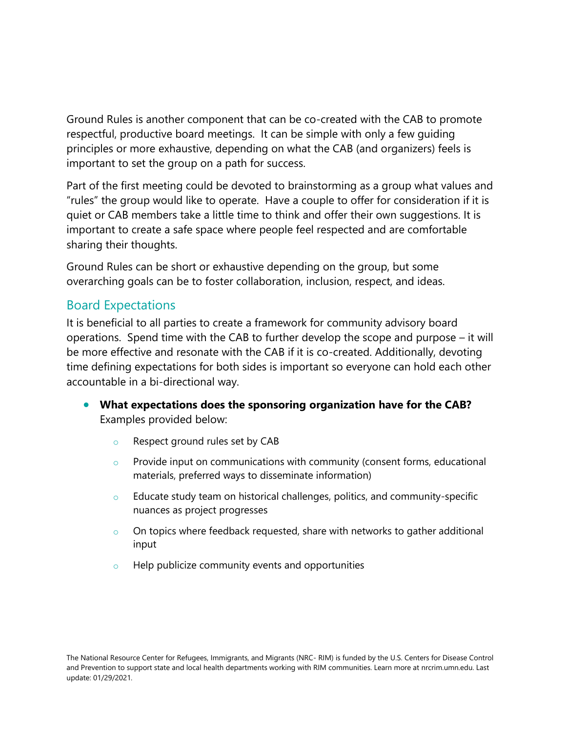Ground Rules is another component that can be co-created with the CAB to promote respectful, productive board meetings. It can be simple with only a few guiding principles or more exhaustive, depending on what the CAB (and organizers) feels is important to set the group on a path for success.

Part of the first meeting could be devoted to brainstorming as a group what values and "rules" the group would like to operate. Have a couple to offer for consideration if it is quiet or CAB members take a little time to think and offer their own suggestions. It is important to create a safe space where people feel respected and are comfortable sharing their thoughts.

Ground Rules can be short or exhaustive depending on the group, but some overarching goals can be to foster collaboration, inclusion, respect, and ideas.

#### Board Expectations

It is beneficial to all parties to create a framework for community advisory board operations. Spend time with the CAB to further develop the scope and purpose – it will be more effective and resonate with the CAB if it is co-created. Additionally, devoting time defining expectations for both sides is important so everyone can hold each other accountable in a bi-directional way.

- **What expectations does the sponsoring organization have for the CAB?** Examples provided below:
	- o Respect ground rules set by CAB
	- $\circ$  Provide input on communications with community (consent forms, educational materials, preferred ways to disseminate information)
	- o Educate study team on historical challenges, politics, and community-specific nuances as project progresses
	- $\circ$  On topics where feedback requested, share with networks to gather additional input
	- Help publicize community events and opportunities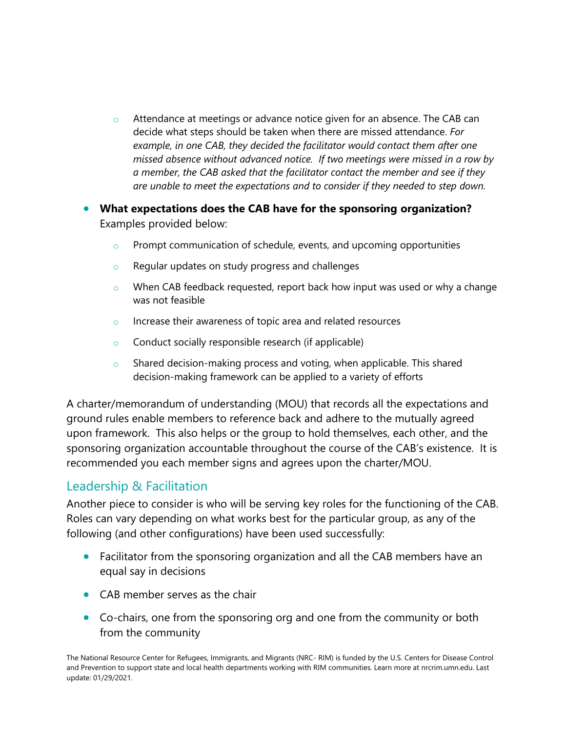- $\circ$  Attendance at meetings or advance notice given for an absence. The CAB can decide what steps should be taken when there are missed attendance. *For example, in one CAB, they decided the facilitator would contact them after one missed absence without advanced notice. If two meetings were missed in a row by a member, the CAB asked that the facilitator contact the member and see if they are unable to meet the expectations and to consider if they needed to step down.*
- **What expectations does the CAB have for the sponsoring organization?** Examples provided below:
	- $\circ$  Prompt communication of schedule, events, and upcoming opportunities
	- o Regular updates on study progress and challenges
	- $\circ$  When CAB feedback requested, report back how input was used or why a change was not feasible
	- $\circ$  Increase their awareness of topic area and related resources
	- o Conduct socially responsible research (if applicable)
	- $\circ$  Shared decision-making process and voting, when applicable. This shared decision-making framework can be applied to a variety of efforts

A charter/memorandum of understanding (MOU) that records all the expectations and ground rules enable members to reference back and adhere to the mutually agreed upon framework. This also helps or the group to hold themselves, each other, and the sponsoring organization accountable throughout the course of the CAB's existence. It is recommended you each member signs and agrees upon the charter/MOU.

### Leadership & Facilitation

Another piece to consider is who will be serving key roles for the functioning of the CAB. Roles can vary depending on what works best for the particular group, as any of the following (and other configurations) have been used successfully:

- Facilitator from the sponsoring organization and all the CAB members have an equal say in decisions
- CAB member serves as the chair
- Co-chairs, one from the sponsoring org and one from the community or both from the community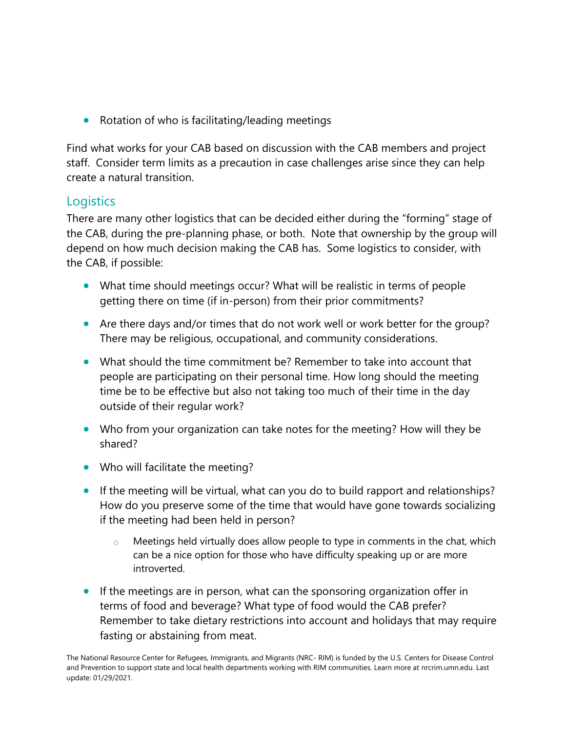• Rotation of who is facilitating/leading meetings

Find what works for your CAB based on discussion with the CAB members and project staff. Consider term limits as a precaution in case challenges arise since they can help create a natural transition.

#### **Logistics**

There are many other logistics that can be decided either during the "forming" stage of the CAB, during the pre-planning phase, or both. Note that ownership by the group will depend on how much decision making the CAB has. Some logistics to consider, with the CAB, if possible:

- What time should meetings occur? What will be realistic in terms of people getting there on time (if in-person) from their prior commitments?
- Are there days and/or times that do not work well or work better for the group? There may be religious, occupational, and community considerations.
- What should the time commitment be? Remember to take into account that people are participating on their personal time. How long should the meeting time be to be effective but also not taking too much of their time in the day outside of their regular work?
- Who from your organization can take notes for the meeting? How will they be shared?
- Who will facilitate the meeting?
- If the meeting will be virtual, what can you do to build rapport and relationships? How do you preserve some of the time that would have gone towards socializing if the meeting had been held in person?
	- $\circ$  Meetings held virtually does allow people to type in comments in the chat, which can be a nice option for those who have difficulty speaking up or are more introverted.
- If the meetings are in person, what can the sponsoring organization offer in terms of food and beverage? What type of food would the CAB prefer? Remember to take dietary restrictions into account and holidays that may require fasting or abstaining from meat.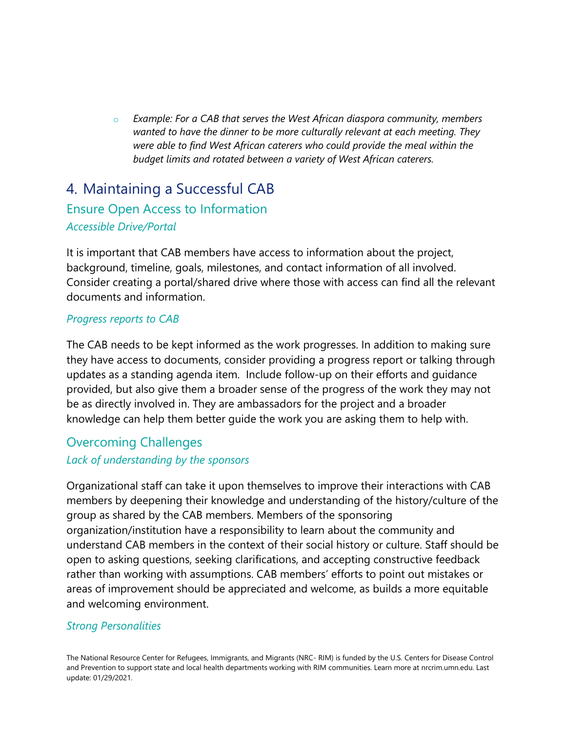o *Example: For a CAB that serves the West African diaspora community, members wanted to have the dinner to be more culturally relevant at each meeting. They were able to find West African caterers who could provide the meal within the budget limits and rotated between a variety of West African caterers.* 

# 4. Maintaining a Successful CAB Ensure Open Access to Information *Accessible Drive/Portal*

It is important that CAB members have access to information about the project, background, timeline, goals, milestones, and contact information of all involved. Consider creating a portal/shared drive where those with access can find all the relevant documents and information.

#### *Progress reports to CAB*

The CAB needs to be kept informed as the work progresses. In addition to making sure they have access to documents, consider providing a progress report or talking through updates as a standing agenda item. Include follow-up on their efforts and guidance provided, but also give them a broader sense of the progress of the work they may not be as directly involved in. They are ambassadors for the project and a broader knowledge can help them better guide the work you are asking them to help with.

### Overcoming Challenges

#### *Lack of understanding by the sponsors*

Organizational staff can take it upon themselves to improve their interactions with CAB members by deepening their knowledge and understanding of the history/culture of the group as shared by the CAB members. Members of the sponsoring organization/institution have a responsibility to learn about the community and understand CAB members in the context of their social history or culture. Staff should be open to asking questions, seeking clarifications, and accepting constructive feedback rather than working with assumptions. CAB members' efforts to point out mistakes or areas of improvement should be appreciated and welcome, as builds a more equitable and welcoming environment.

#### *Strong Personalities*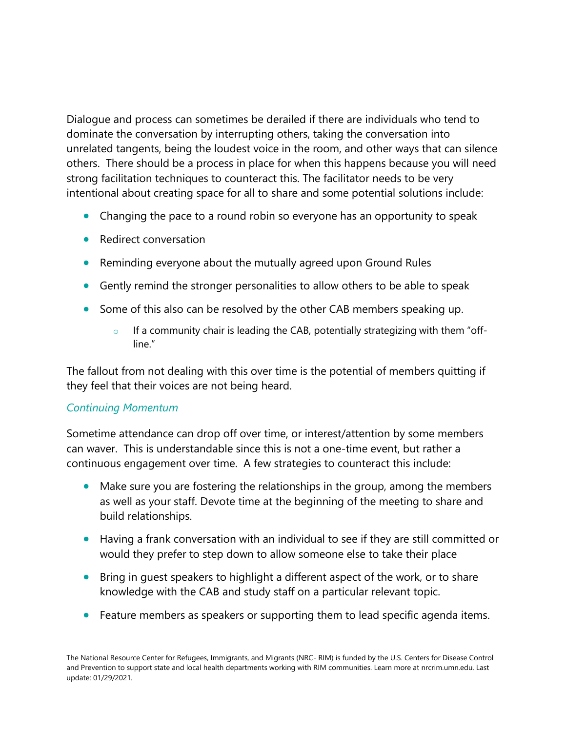Dialogue and process can sometimes be derailed if there are individuals who tend to dominate the conversation by interrupting others, taking the conversation into unrelated tangents, being the loudest voice in the room, and other ways that can silence others. There should be a process in place for when this happens because you will need strong facilitation techniques to counteract this. The facilitator needs to be very intentional about creating space for all to share and some potential solutions include:

- Changing the pace to a round robin so everyone has an opportunity to speak
- Redirect conversation
- Reminding everyone about the mutually agreed upon Ground Rules
- Gently remind the stronger personalities to allow others to be able to speak
- Some of this also can be resolved by the other CAB members speaking up.
	- $\circ$  If a community chair is leading the CAB, potentially strategizing with them "offline"

The fallout from not dealing with this over time is the potential of members quitting if they feel that their voices are not being heard.

#### *Continuing Momentum*

Sometime attendance can drop off over time, or interest/attention by some members can waver. This is understandable since this is not a one-time event, but rather a continuous engagement over time. A few strategies to counteract this include:

- Make sure you are fostering the relationships in the group, among the members as well as your staff. Devote time at the beginning of the meeting to share and build relationships.
- Having a frank conversation with an individual to see if they are still committed or would they prefer to step down to allow someone else to take their place
- Bring in guest speakers to highlight a different aspect of the work, or to share knowledge with the CAB and study staff on a particular relevant topic.
- Feature members as speakers or supporting them to lead specific agenda items.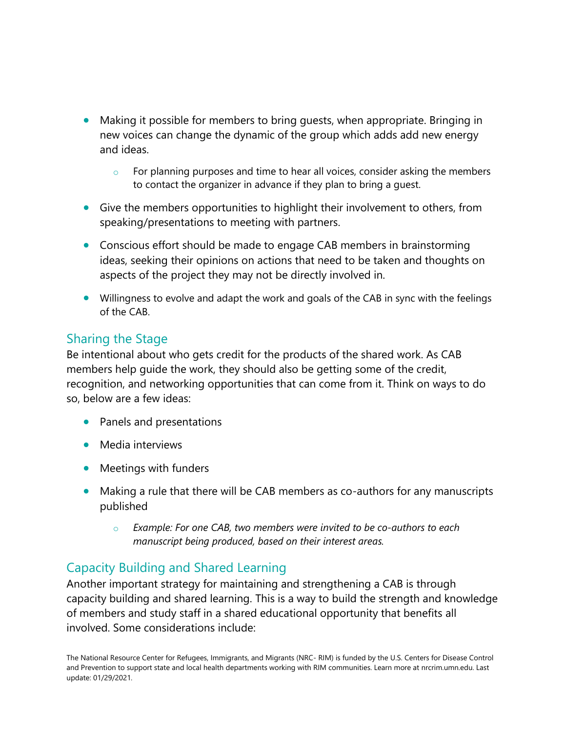- Making it possible for members to bring quests, when appropriate. Bringing in new voices can change the dynamic of the group which adds add new energy and ideas.
	- $\circ$  For planning purposes and time to hear all voices, consider asking the members to contact the organizer in advance if they plan to bring a guest.
- Give the members opportunities to highlight their involvement to others, from speaking/presentations to meeting with partners.
- Conscious effort should be made to engage CAB members in brainstorming ideas, seeking their opinions on actions that need to be taken and thoughts on aspects of the project they may not be directly involved in.
- Willingness to evolve and adapt the work and goals of the CAB in sync with the feelings of the CAB.

#### Sharing the Stage

Be intentional about who gets credit for the products of the shared work. As CAB members help guide the work, they should also be getting some of the credit, recognition, and networking opportunities that can come from it. Think on ways to do so, below are a few ideas:

- Panels and presentations
- Media interviews
- Meetings with funders
- Making a rule that there will be CAB members as co-authors for any manuscripts published
	- o *Example: For one CAB, two members were invited to be co-authors to each manuscript being produced, based on their interest areas.*

### Capacity Building and Shared Learning

Another important strategy for maintaining and strengthening a CAB is through capacity building and shared learning. This is a way to build the strength and knowledge of members and study staff in a shared educational opportunity that benefits all involved. Some considerations include: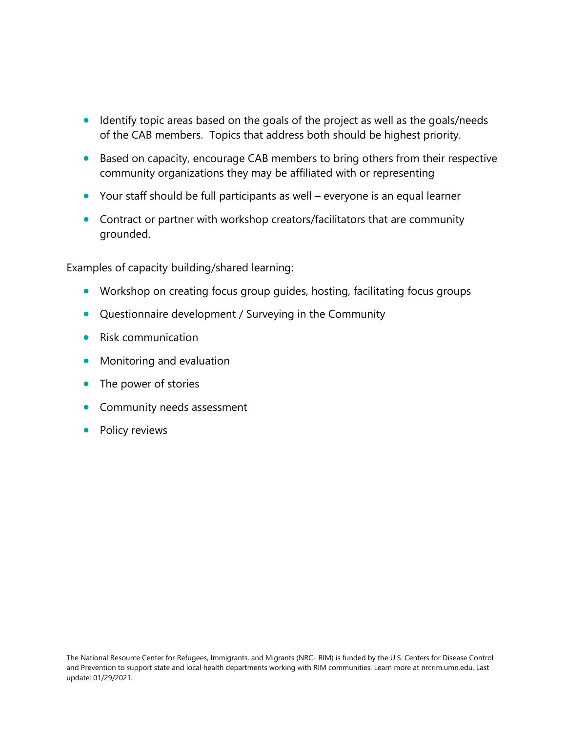- Identify topic areas based on the goals of the project as well as the goals/needs of the CAB members. Topics that address both should be highest priority.
- Based on capacity, encourage CAB members to bring others from their respective community organizations they may be affiliated with or representing
- Your staff should be full participants as well everyone is an equal learner
- Contract or partner with workshop creators/facilitators that are community grounded.

Examples of capacity building/shared learning:

- Workshop on creating focus group guides, hosting, facilitating focus groups
- Questionnaire development / Surveying in the Community
- Risk communication
- Monitoring and evaluation
- The power of stories
- Community needs assessment
- Policy reviews